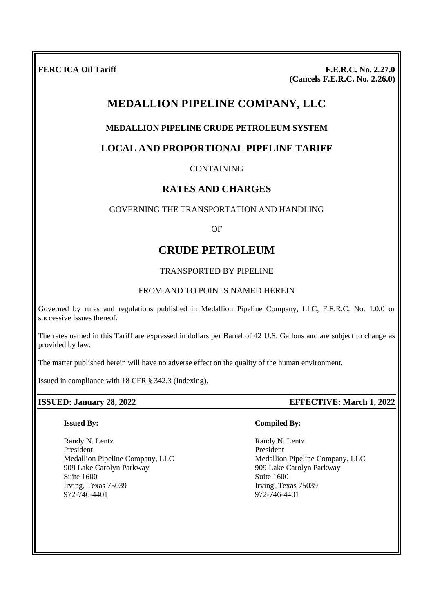**FERC ICA Oil Tariff F.E.R.C. No. 2.27.0 (Cancels F.E.R.C. No. 2.26.0)**

# **MEDALLION PIPELINE COMPANY, LLC**

# **MEDALLION PIPELINE CRUDE PETROLEUM SYSTEM**

# **LOCAL AND PROPORTIONAL PIPELINE TARIFF**

CONTAINING

# **RATES AND CHARGES**

## GOVERNING THE TRANSPORTATION AND HANDLING

OF

# **CRUDE PETROLEUM**

## TRANSPORTED BY PIPELINE

## FROM AND TO POINTS NAMED HEREIN

Governed by rules and regulations published in Medallion Pipeline Company, LLC, F.E.R.C. No. 1.0.0 or successive issues thereof.

The rates named in this Tariff are expressed in dollars per Barrel of 42 U.S. Gallons and are subject to change as provided by law.

The matter published herein will have no adverse effect on the quality of the human environment.

Issued in compliance with 18 CFR § 342.3 (Indexing).

## **ISSUED: January 28, 2022 EFFECTIVE: March 1, 2022**

#### **Issued By:**

Randy N. Lentz President Medallion Pipeline Company, LLC 909 Lake Carolyn Parkway Suite 1600 Irving, Texas 75039 972-746-4401

## **Compiled By:**

Randy N. Lentz President Medallion Pipeline Company, LLC 909 Lake Carolyn Parkway Suite 1600 Irving, Texas 75039 972-746-4401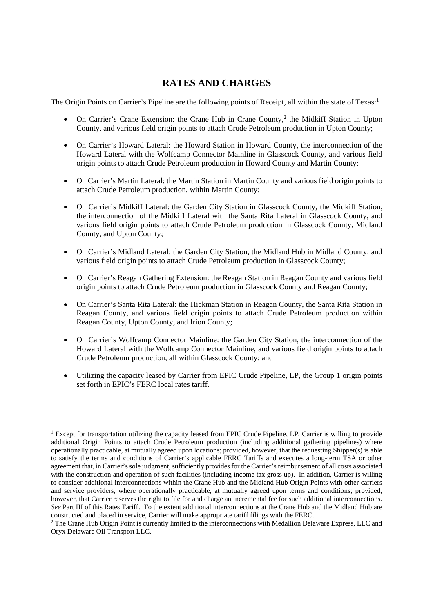# **RATES AND CHARGES**

The Origin Points on Carrier's Pipeline are the following points of Receipt, all within the state of Texas:<sup>1</sup>

- On Carrier's Crane Extension: the Crane Hub in Crane County,<sup>2</sup> the Midkiff Station in Upton County, and various field origin points to attach Crude Petroleum production in Upton County;
- On Carrier's Howard Lateral: the Howard Station in Howard County, the interconnection of the Howard Lateral with the Wolfcamp Connector Mainline in Glasscock County, and various field origin points to attach Crude Petroleum production in Howard County and Martin County;
- On Carrier's Martin Lateral: the Martin Station in Martin County and various field origin points to attach Crude Petroleum production, within Martin County;
- On Carrier's Midkiff Lateral: the Garden City Station in Glasscock County, the Midkiff Station, the interconnection of the Midkiff Lateral with the Santa Rita Lateral in Glasscock County, and various field origin points to attach Crude Petroleum production in Glasscock County, Midland County, and Upton County;
- On Carrier's Midland Lateral: the Garden City Station, the Midland Hub in Midland County, and various field origin points to attach Crude Petroleum production in Glasscock County;
- On Carrier's Reagan Gathering Extension: the Reagan Station in Reagan County and various field origin points to attach Crude Petroleum production in Glasscock County and Reagan County;
- On Carrier's Santa Rita Lateral: the Hickman Station in Reagan County, the Santa Rita Station in Reagan County, and various field origin points to attach Crude Petroleum production within Reagan County, Upton County, and Irion County;
- On Carrier's Wolfcamp Connector Mainline: the Garden City Station, the interconnection of the Howard Lateral with the Wolfcamp Connector Mainline, and various field origin points to attach Crude Petroleum production, all within Glasscock County; and
- Utilizing the capacity leased by Carrier from EPIC Crude Pipeline, LP, the Group 1 origin points set forth in EPIC's FERC local rates tariff.

<sup>&</sup>lt;sup>1</sup> Except for transportation utilizing the capacity leased from EPIC Crude Pipeline, LP, Carrier is willing to provide additional Origin Points to attach Crude Petroleum production (including additional gathering pipelines) where operationally practicable, at mutually agreed upon locations; provided, however, that the requesting Shipper(s) is able to satisfy the terms and conditions of Carrier's applicable FERC Tariffs and executes a long-term TSA or other agreement that, in Carrier's sole judgment, sufficiently provides for the Carrier's reimbursement of all costs associated with the construction and operation of such facilities (including income tax gross up). In addition, Carrier is willing to consider additional interconnections within the Crane Hub and the Midland Hub Origin Points with other carriers and service providers, where operationally practicable, at mutually agreed upon terms and conditions; provided, however, that Carrier reserves the right to file for and charge an incremental fee for such additional interconnections. *See* Part III of this Rates Tariff. To the extent additional interconnections at the Crane Hub and the Midland Hub are constructed and placed in service, Carrier will make appropriate tariff filings with the FERC.

<sup>&</sup>lt;sup>2</sup> The Crane Hub Origin Point is currently limited to the interconnections with Medallion Delaware Express, LLC and Oryx Delaware Oil Transport LLC.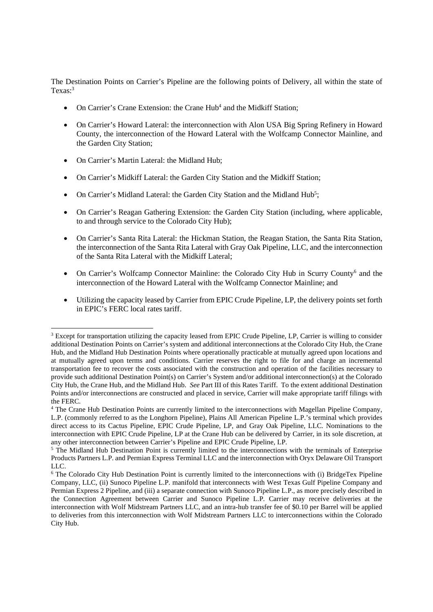The Destination Points on Carrier's Pipeline are the following points of Delivery, all within the state of Texas:<sup>3</sup>

- On Carrier's Crane Extension: the Crane Hub<sup>4</sup> and the Midkiff Station;
- On Carrier's Howard Lateral: the interconnection with Alon USA Big Spring Refinery in Howard County, the interconnection of the Howard Lateral with the Wolfcamp Connector Mainline, and the Garden City Station;
- On Carrier's Martin Lateral: the Midland Hub;
- On Carrier's Midkiff Lateral: the Garden City Station and the Midkiff Station;
- On Carrier's Midland Lateral: the Garden City Station and the Midland  $Hub<sup>5</sup>$ ;
- On Carrier's Reagan Gathering Extension: the Garden City Station (including, where applicable, to and through service to the Colorado City Hub);
- On Carrier's Santa Rita Lateral: the Hickman Station, the Reagan Station, the Santa Rita Station, the interconnection of the Santa Rita Lateral with Gray Oak Pipeline, LLC, and the interconnection of the Santa Rita Lateral with the Midkiff Lateral;
- On Carrier's Wolfcamp Connector Mainline: the Colorado City Hub in Scurry County<sup>6</sup> and the interconnection of the Howard Lateral with the Wolfcamp Connector Mainline; and
- Utilizing the capacity leased by Carrier from EPIC Crude Pipeline, LP, the delivery points set forth in EPIC's FERC local rates tariff.

<sup>&</sup>lt;sup>3</sup> Except for transportation utilizing the capacity leased from EPIC Crude Pipeline, LP, Carrier is willing to consider additional Destination Points on Carrier's system and additional interconnections at the Colorado City Hub, the Crane Hub, and the Midland Hub Destination Points where operationally practicable at mutually agreed upon locations and at mutually agreed upon terms and conditions. Carrier reserves the right to file for and charge an incremental transportation fee to recover the costs associated with the construction and operation of the facilities necessary to provide such additional Destination Point(s) on Carrier's System and/or additional interconnection(s) at the Colorado City Hub, the Crane Hub, and the Midland Hub. *See* Part III of this Rates Tariff. To the extent additional Destination Points and/or interconnections are constructed and placed in service, Carrier will make appropriate tariff filings with the FERC.

<sup>4</sup> The Crane Hub Destination Points are currently limited to the interconnections with Magellan Pipeline Company, L.P. (commonly referred to as the Longhorn Pipeline), Plains All American Pipeline L.P.'s terminal which provides direct access to its Cactus Pipeline, EPIC Crude Pipeline, LP, and Gray Oak Pipeline, LLC. Nominations to the interconnection with EPIC Crude Pipeline, LP at the Crane Hub can be delivered by Carrier, in its sole discretion, at any other interconnection between Carrier's Pipeline and EPIC Crude Pipeline, LP.

 $5$  The Midland Hub Destination Point is currently limited to the interconnections with the terminals of Enterprise Products Partners L.P. and Permian Express Terminal LLC and the interconnection with Oryx Delaware Oil Transport LLC.

<sup>6</sup> The Colorado City Hub Destination Point is currently limited to the interconnections with (i) BridgeTex Pipeline Company, LLC, (ii) Sunoco Pipeline L.P. manifold that interconnects with West Texas Gulf Pipeline Company and Permian Express 2 Pipeline, and (iii) a separate connection with Sunoco Pipeline L.P., as more precisely described in the Connection Agreement between Carrier and Sunoco Pipeline L.P. Carrier may receive deliveries at the interconnection with Wolf Midstream Partners LLC, and an intra-hub transfer fee of \$0.10 per Barrel will be applied to deliveries from this interconnection with Wolf Midstream Partners LLC to interconnections within the Colorado City Hub.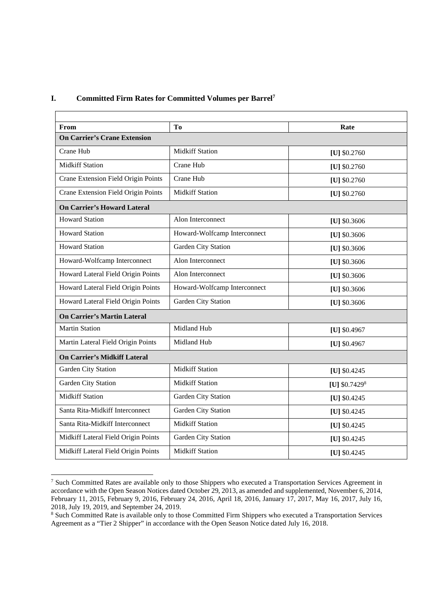#### **I. Committed Firm Rates for Committed Volumes per Barrel<sup>7</sup>**

| From                                | Tо                           | Rate                       |  |
|-------------------------------------|------------------------------|----------------------------|--|
| <b>On Carrier's Crane Extension</b> |                              |                            |  |
| Crane Hub                           | <b>Midkiff Station</b>       | [U] \$0.2760               |  |
| <b>Midkiff Station</b>              | Crane Hub                    | [U] $$0.2760$              |  |
| Crane Extension Field Origin Points | Crane Hub                    | [U] $$0.2760$              |  |
| Crane Extension Field Origin Points | <b>Midkiff Station</b>       | [U] \$0.2760               |  |
| <b>On Carrier's Howard Lateral</b>  |                              |                            |  |
| <b>Howard Station</b>               | Alon Interconnect            | [U] $$0.3606$              |  |
| <b>Howard Station</b>               | Howard-Wolfcamp Interconnect | [U] $$0.3606$              |  |
| <b>Howard Station</b>               | Garden City Station          | [U] $$0.3606$              |  |
| Howard-Wolfcamp Interconnect        | Alon Interconnect            | [U] $$0.3606$              |  |
| Howard Lateral Field Origin Points  | Alon Interconnect            | [U] $$0.3606$              |  |
| Howard Lateral Field Origin Points  | Howard-Wolfcamp Interconnect | [U] \$0.3606               |  |
| Howard Lateral Field Origin Points  | Garden City Station          | [U] \$0.3606               |  |
| <b>On Carrier's Martin Lateral</b>  |                              |                            |  |
| <b>Martin Station</b>               | Midland Hub                  | [U] \$0.4967               |  |
| Martin Lateral Field Origin Points  | Midland Hub                  | [U] \$0.4967               |  |
| <b>On Carrier's Midkiff Lateral</b> |                              |                            |  |
| Garden City Station                 | <b>Midkiff Station</b>       | [U] \$0.4245               |  |
| Garden City Station                 | <b>Midkiff Station</b>       | [U] $$0.7429$ <sup>8</sup> |  |
| <b>Midkiff Station</b>              | Garden City Station          | [U] $$0.4245$              |  |
| Santa Rita-Midkiff Interconnect     | Garden City Station          | [U] \$0.4245               |  |
| Santa Rita-Midkiff Interconnect     | <b>Midkiff Station</b>       | [U] $$0.4245$              |  |
| Midkiff Lateral Field Origin Points | Garden City Station          | [U] \$0.4245               |  |
| Midkiff Lateral Field Origin Points | <b>Midkiff Station</b>       | [U] \$0.4245               |  |

<sup>7</sup> Such Committed Rates are available only to those Shippers who executed a Transportation Services Agreement in accordance with the Open Season Notices dated October 29, 2013, as amended and supplemented, November 6, 2014, February 11, 2015, February 9, 2016, February 24, 2016, April 18, 2016, January 17, 2017, May 16, 2017, July 16, 2018, July 19, 2019, and September 24, 2019.

<sup>&</sup>lt;sup>8</sup> Such Committed Rate is available only to those Committed Firm Shippers who executed a Transportation Services Agreement as a "Tier 2 Shipper" in accordance with the Open Season Notice dated July 16, 2018.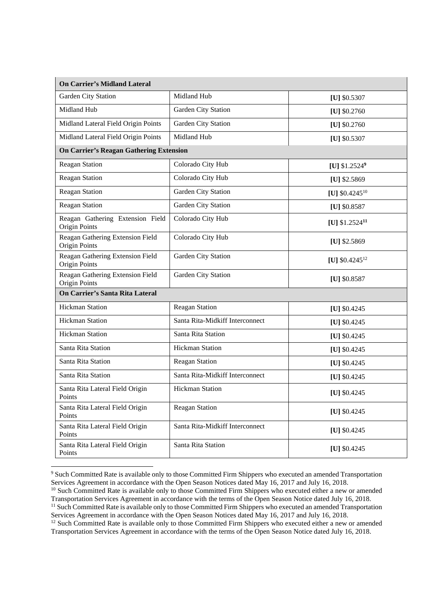| <b>On Carrier's Midland Lateral</b>               |                                 |                             |
|---------------------------------------------------|---------------------------------|-----------------------------|
| Garden City Station                               | Midland Hub                     | [U] $$0.5307$               |
| Midland Hub                                       | Garden City Station             | [U] $$0.2760$               |
| Midland Lateral Field Origin Points               | Garden City Station             | [U] $$0.2760$               |
| Midland Lateral Field Origin Points               | Midland Hub                     | [U] \$0.5307                |
| <b>On Carrier's Reagan Gathering Extension</b>    |                                 |                             |
| <b>Reagan Station</b>                             | Colorado City Hub               | [U] $$1.25249$              |
| Reagan Station                                    | Colorado City Hub               | [U] $$2.5869$               |
| <b>Reagan Station</b>                             | <b>Garden City Station</b>      | [U] $$0.4245^{10}$          |
| <b>Reagan Station</b>                             | Garden City Station             | [U] \$0.8587                |
| Reagan Gathering Extension Field<br>Origin Points | Colorado City Hub               | [U] $$1.2524$ <sup>11</sup> |
| Reagan Gathering Extension Field<br>Origin Points | Colorado City Hub               | [U] $$2.5869$               |
| Reagan Gathering Extension Field<br>Origin Points | Garden City Station             | [U] $$0.4245^{12}$          |
| Reagan Gathering Extension Field<br>Origin Points | Garden City Station             | [U] \$0.8587                |
| On Carrier's Santa Rita Lateral                   |                                 |                             |
| <b>Hickman Station</b>                            | <b>Reagan Station</b>           | [U] $$0.4245$               |
| <b>Hickman Station</b>                            | Santa Rita-Midkiff Interconnect | [U] $$0.4245$               |
| <b>Hickman Station</b>                            | Santa Rita Station              | [U] $$0.4245$               |
| Santa Rita Station                                | <b>Hickman Station</b>          | [U] $$0.4245$               |
| Santa Rita Station                                | <b>Reagan Station</b>           | [U] $$0.4245$               |
| Santa Rita Station                                | Santa Rita-Midkiff Interconnect | [U] \$0.4245                |
| Santa Rita Lateral Field Origin<br>Points         | Hickman Station                 | [U] \$0.4245                |
| Santa Rita Lateral Field Origin<br>Points         | <b>Reagan Station</b>           | [U] \$0.4245                |
| Santa Rita Lateral Field Origin<br>Points         | Santa Rita-Midkiff Interconnect | [U] \$0.4245                |
| Santa Rita Lateral Field Origin<br>Points         | Santa Rita Station              | [U] $$0.4245$               |

<sup>9</sup> Such Committed Rate is available only to those Committed Firm Shippers who executed an amended Transportation Services Agreement in accordance with the Open Season Notices dated May 16, 2017 and July 16, 2018.

<sup>12</sup> Such Committed Rate is available only to those Committed Firm Shippers who executed either a new or amended Transportation Services Agreement in accordance with the terms of the Open Season Notice dated July 16, 2018.

<sup>&</sup>lt;sup>10</sup> Such Committed Rate is available only to those Committed Firm Shippers who executed either a new or amended Transportation Services Agreement in accordance with the terms of the Open Season Notice dated July 16, 2018. <sup>11</sup> Such Committed Rate is available only to those Committed Firm Shippers who executed an amended Transportation Services Agreement in accordance with the Open Season Notices dated May 16, 2017 and July 16, 2018.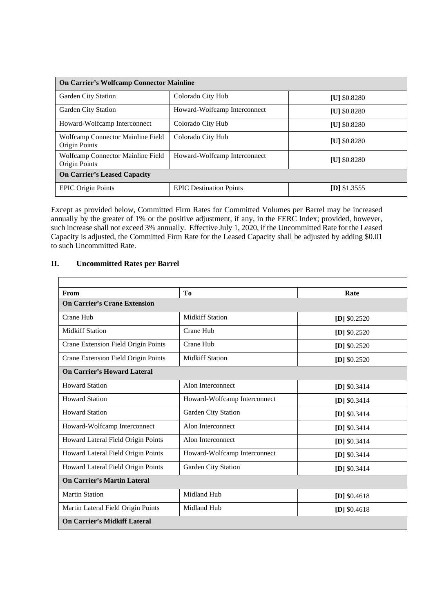| <b>On Carrier's Wolfcamp Connector Mainline</b>    |                                |                     |
|----------------------------------------------------|--------------------------------|---------------------|
| Garden City Station                                | Colorado City Hub              | [U] $$0.8280$       |
| Garden City Station                                | Howard-Wolfcamp Interconnect   | <b>IU1 \$0.8280</b> |
| Howard-Wolfcamp Interconnect                       | Colorado City Hub              | <b>IU1 \$0.8280</b> |
| Wolfcamp Connector Mainline Field<br>Origin Points | Colorado City Hub              | <b>IU1 \$0.8280</b> |
| Wolfcamp Connector Mainline Field<br>Origin Points | Howard-Wolfcamp Interconnect   | <b>IU1 \$0.8280</b> |
| <b>On Carrier's Leased Capacity</b>                |                                |                     |
| <b>EPIC Origin Points</b>                          | <b>EPIC Destination Points</b> | $[D]$ \$1.3555      |

Except as provided below, Committed Firm Rates for Committed Volumes per Barrel may be increased annually by the greater of 1% or the positive adjustment, if any, in the FERC Index; provided, however, such increase shall not exceed 3% annually. Effective July 1, 2020, if the Uncommitted Rate for the Leased Capacity is adjusted, the Committed Firm Rate for the Leased Capacity shall be adjusted by adding \$0.01 to such Uncommitted Rate.

### **II. Uncommitted Rates per Barrel**

| From                                | To                           | Rate           |  |
|-------------------------------------|------------------------------|----------------|--|
| <b>On Carrier's Crane Extension</b> |                              |                |  |
| Crane Hub                           | <b>Midkiff Station</b>       | [D] $$0.2520$  |  |
| <b>Midkiff Station</b>              | Crane Hub                    | $[D]$ \$0.2520 |  |
| Crane Extension Field Origin Points | Crane Hub                    | [D] $$0.2520$  |  |
| Crane Extension Field Origin Points | <b>Midkiff Station</b>       | $[D]$ \$0.2520 |  |
| <b>On Carrier's Howard Lateral</b>  |                              |                |  |
| <b>Howard Station</b>               | Alon Interconnect            | [D] $$0.3414$  |  |
| <b>Howard Station</b>               | Howard-Wolfcamp Interconnect | [D] $$0.3414$  |  |
| <b>Howard Station</b>               | Garden City Station          | $[D]$ \$0.3414 |  |
| Howard-Wolfcamp Interconnect        | Alon Interconnect            | [D] $$0.3414$  |  |
| Howard Lateral Field Origin Points  | Alon Interconnect            | [D] $$0.3414$  |  |
| Howard Lateral Field Origin Points  | Howard-Wolfcamp Interconnect | [D] $$0.3414$  |  |
| Howard Lateral Field Origin Points  | Garden City Station          | [D] $$0.3414$  |  |
| <b>On Carrier's Martin Lateral</b>  |                              |                |  |
| <b>Martin Station</b>               | Midland Hub                  | [D] $$0.4618$  |  |
| Martin Lateral Field Origin Points  | Midland Hub                  | $[D]$ \$0.4618 |  |
| <b>On Carrier's Midkiff Lateral</b> |                              |                |  |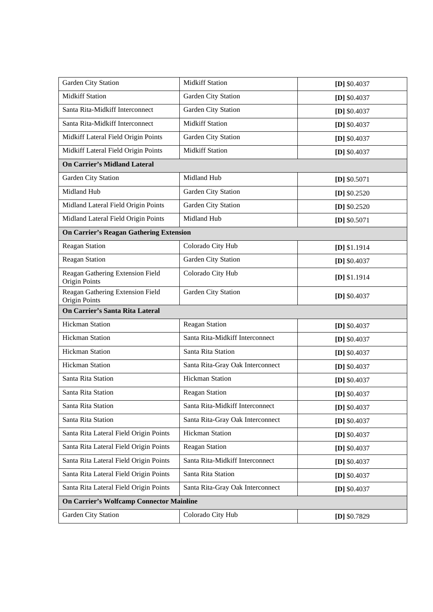| Garden City Station                                      | <b>Midkiff Station</b>           | [D] $$0.4037$  |
|----------------------------------------------------------|----------------------------------|----------------|
| <b>Midkiff Station</b>                                   | Garden City Station              | [D] $$0.4037$  |
| Santa Rita-Midkiff Interconnect                          | Garden City Station              | [D] $$0.4037$  |
| Santa Rita-Midkiff Interconnect                          | <b>Midkiff Station</b>           | $[D]$ \$0.4037 |
| Midkiff Lateral Field Origin Points                      | Garden City Station              | $[D]$ \$0.4037 |
| Midkiff Lateral Field Origin Points                      | <b>Midkiff Station</b>           | $[D]$ \$0.4037 |
| <b>On Carrier's Midland Lateral</b>                      |                                  |                |
| Garden City Station                                      | Midland Hub                      | $[D]$ \$0.5071 |
| Midland Hub                                              | Garden City Station              | [D] $$0.2520$  |
| Midland Lateral Field Origin Points                      | Garden City Station              | $[D]$ \$0.2520 |
| Midland Lateral Field Origin Points                      | Midland Hub                      | [D] $$0.5071$  |
| <b>On Carrier's Reagan Gathering Extension</b>           |                                  |                |
| <b>Reagan Station</b>                                    | Colorado City Hub                | $[D]$ \$1.1914 |
| <b>Reagan Station</b>                                    | Garden City Station              | [D] $$0.4037$  |
| Reagan Gathering Extension Field<br>Origin Points        | Colorado City Hub                | $[D]$ \$1.1914 |
| Reagan Gathering Extension Field<br><b>Origin Points</b> | Garden City Station              | [D] $$0.4037$  |
| On Carrier's Santa Rita Lateral                          |                                  |                |
| <b>Hickman Station</b>                                   | Reagan Station                   | [D] $$0.4037$  |
| <b>Hickman Station</b>                                   | Santa Rita-Midkiff Interconnect  | [D] $$0.4037$  |
| <b>Hickman Station</b>                                   | Santa Rita Station               | [D] $$0.4037$  |
| <b>Hickman Station</b>                                   | Santa Rita-Gray Oak Interconnect | $[D]$ \$0.4037 |
| Santa Rita Station                                       | <b>Hickman Station</b>           | $[D]$ \$0.4037 |
| Santa Rita Station                                       | <b>Reagan Station</b>            | [D] $$0.4037$  |
| Santa Rita Station                                       | Santa Rita-Midkiff Interconnect  | [D] $$0.4037$  |
| Santa Rita Station                                       | Santa Rita-Gray Oak Interconnect | [D] $$0.4037$  |
| Santa Rita Lateral Field Origin Points                   | <b>Hickman Station</b>           | [D] $$0.4037$  |
| Santa Rita Lateral Field Origin Points                   | Reagan Station                   | [D] $$0.4037$  |
| Santa Rita Lateral Field Origin Points                   | Santa Rita-Midkiff Interconnect  | [D] $$0.4037$  |
| Santa Rita Lateral Field Origin Points                   | Santa Rita Station               | [D] $$0.4037$  |
| Santa Rita Lateral Field Origin Points                   | Santa Rita-Gray Oak Interconnect | $[D]$ \$0.4037 |
| <b>On Carrier's Wolfcamp Connector Mainline</b>          |                                  |                |
| Garden City Station                                      | Colorado City Hub                | [D] $$0.7829$  |
|                                                          |                                  |                |